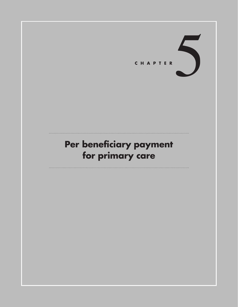

# **Per beneficiary payment for primary care**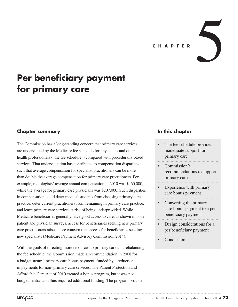# **Per beneficiary payment for primary care**

## **Chapter summary**

The Commission has a long-standing concern that primary care services are undervalued by the Medicare fee schedule for physicians and other health professionals ("the fee schedule") compared with procedurally based services. That undervaluation has contributed to compensation disparities such that average compensation for specialist practitioners can be more than double the average compensation for primary care practitioners. For example, radiologists' average annual compensation in 2010 was \$460,000, while the average for primary care physicians was \$207,000. Such disparities in compensation could deter medical students from choosing primary care practice, deter current practitioners from remaining in primary care practice, and leave primary care services at risk of being underprovided. While Medicare beneficiaries generally have good access to care, as shown in both patient and physician surveys, access for beneficiaries seeking new primary care practitioners raises more concern than access for beneficiaries seeking new specialists (Medicare Payment Advisory Commission 2014).

With the goals of directing more resources to primary care and rebalancing the fee schedule, the Commission made a recommendation in 2008 for a budget-neutral primary care bonus payment, funded by a reduction in payments for non–primary care services. The Patient Protection and Affordable Care Act of 2010 created a bonus program, but it was not budget neutral and thus required additional funding. The program provides

## **In this chapter**

- The fee schedule provides inadequate support for primary care
- Commission's recommendations to support primary care
- Experience with primary care bonus payment
- Converting the primary care bonus payment to a per beneficiary payment
- Design considerations for a per beneficiary payment
- **Conclusion**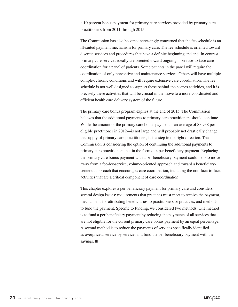a 10 percent bonus payment for primary care services provided by primary care practitioners from 2011 through 2015.

The Commission has also become increasingly concerned that the fee schedule is an ill-suited payment mechanism for primary care. The fee schedule is oriented toward discrete services and procedures that have a definite beginning and end. In contrast, primary care services ideally are oriented toward ongoing, non-face-to-face care coordination for a panel of patients. Some patients in the panel will require the coordination of only preventive and maintenance services. Others will have multiple complex chronic conditions and will require extensive care coordination. The fee schedule is not well designed to support these behind-the-scenes activities, and it is precisely these activities that will be crucial in the move to a more coordinated and efficient health care delivery system of the future.

The primary care bonus program expires at the end of 2015. The Commission believes that the additional payments to primary care practitioners should continue. While the amount of the primary care bonus payment—an average of \$3,938 per eligible practitioner in 2012—is not large and will probably not drastically change the supply of primary care practitioners, it is a step in the right direction. The Commission is considering the option of continuing the additional payments to primary care practitioners, but in the form of a per beneficiary payment. Replacing the primary care bonus payment with a per beneficiary payment could help to move away from a fee-for-service, volume-oriented approach and toward a beneficiarycentered approach that encourages care coordination, including the non-face-to-face activities that are a critical component of care coordination.

This chapter explores a per beneficiary payment for primary care and considers several design issues: requirements that practices must meet to receive the payment, mechanisms for attributing beneficiaries to practitioners or practices, and methods to fund the payment. Specific to funding, we considered two methods. One method is to fund a per beneficiary payment by reducing the payments of all services that are not eligible for the current primary care bonus payment by an equal percentage. A second method is to reduce the payments of services specifically identified as overpriced, service by service, and fund the per beneficiary payment with the savings. ■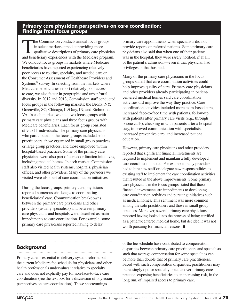## **Primary care physician perspectives on care coordination: Findings from focus groups**

The Commission conducts annual focus groups<br>in select markets aimed at providing more<br>qualitative descriptions of primary care physiciant<br>and handiciany experiences with the Medicare program in select markets aimed at providing more qualitative descriptions of primary care physician and beneficiary experiences with the Medicare program. We conduct focus groups in markets where Medicare beneficiaries have reported experiencing relatively poor access to routine, specialty, and needed care on the Consumer Assessment of Healthcare Providers and Systems® survey. In selecting from the markets where Medicare beneficiaries report relatively poor access to care, we also factor in geographic and urban/rural diversity. In 2012 and 2013, Commission staff conducted focus groups in the following markets: the Bronx, NY; Greenville, SC; Chicago, IL/Gary, IN; and Richmond, VA. In each market, we held two focus groups with primary care physicians and three focus groups with Medicare beneficiaries. Each focus group consisted of 9 to 11 individuals. The primary care physicians who participated in the focus groups included solo practitioners, those organized in small group practices or large group practices, and those employed within hospital-based practices. Some of the primary care physicians were also part of care coordination initiatives, including medical homes. In each market, Commission staff also visited health systems, hospitals, physician offices, and other providers. Many of the providers we visited were also part of care coordination initiatives.

During the focus groups, primary care physicians reported numerous challenges to coordinating beneficiaries' care. Communication breakdowns between the primary care physicians and other providers (usually specialists) and between primary care physicians and hospitals were described as main impediments to care coordination. For example, some primary care physicians reported having to delay

**Background**

Primary care is essential to delivery system reform, but the current Medicare fee schedule for physicians and other health professionals undervalues it relative to specialty care and does not explicitly pay for non-face-to-face care coordination (see the text box for a discussion of physician perspectives on care coordination). Those shortcomings

primary care appointments when specialists did not provide reports on referred patients. Some primary care physicians also said that when one of their patients was in the hospital, they were rarely notified, if at all, of the patient's admission—even if that physician had privileges in that hospital.

Many of the primary care physicians in the focus groups stated that care coordination activities could help improve quality of care. Primary care physicians and other providers already participating in patientcentered medical homes said care coordination activities did improve the way they practice. Care coordination activities included more team-based care, increased face-to-face time with patients, follow-up with patients after primary care visits (e.g., through phone calls), checking in with patients after a hospital stay, improved communication with specialists, increased preventive care, and increased patient education.

However, primary care physicians and other providers reported that significant financial investments are required to implement and maintain a fully developed care coordination model. For example, many providers had to hire new staff or delegate new responsibilities to existing staff to implement the care coordination activities that resulted in the above improvements. Some primary care physicians in the focus groups stated that those financial investments are impediments to developing care coordination activities and pursuing initiatives such as medical homes. This sentiment was more common among the solo practitioners and those in small group practices. Moreover, several primary care physicians reported having looked into the process of being certified as a patient-centered medical home, but decided it was not worth pursuing for financial reasons. ■

of the fee schedule have contributed to compensation disparities between primary care practitioners and specialists such that average compensation for some specialties can be more than double that of primary care practitioners. Faced with such compensation disparities, practitioners may increasingly opt for specialty practice over primary care practice, exposing beneficiaries to an increasing risk, in the long run, of impaired access to primary care.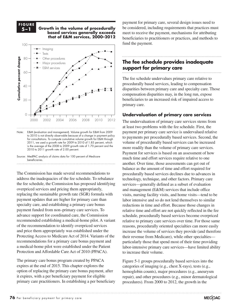**F i g ur e 5-1**

**5–1 Growth in the volume of procedurally based services generally exceeds that of E&M services, 2000–2012 Volume growth has raised... FIGURE**



Note: E&M (evaluation and management). Volume growth for E&M from 2009 to 2010 is not directly observable because of a change in payment policy for consultations. To compute cumulative volume growth for E&M through 2011, we used a growth rate for 2009 to 2010 of 1.85 percent, which is the average of the 2008 to 2009 growth rate of 1.70 percent and the 2010 to 2011 growth rate of 2.00 percent.

Source: MedPAC analysis of claims data for 100 percent of Medicare beneficiaries. Deficiencial idea.

The Commission has made several recommendations to address the inadequacies of the fee schedule. To rebalance the fee schedule, the Commission has proposed identifying overpriced services and pricing them appropriately, replacing the sustainable growth rate (SGR) formula with payment updates that are higher for primary care than a labor intensive and labor intensive a specialty care, and establishing a primary care bonus reductions in time and effort. Because those payment funded from non–primary care services. To advance support for coordinated care, the Commission of the recommendation to identify overpriced services and price them appropriately was established under the increase the Protecting Access to Medicare Act of 2014. Variants of the recommendations for a primary care bonus payment and a medical-home pilot were established under the Patient Protection and Affordable Care Act of 2010 (PPACA).

The primary care bonus program created by PPACA expires at the end of 2015. This chapter explores the option of replacing the primary care bonus payment, after it expires, with a per beneficiary payment for eligible primary care practitioners. In establishing a per beneficiary

payment for primary care, several design issues need to be considered, including requirements that practices must meet to receive the payment, mechanisms for attributing beneficiaries to practitioners or practices, and methods to fund the payment.

# **The fee schedule provides inadequate**  E&M support for primary care

The fee schedule undervalues primary care relative to procedurally based services, leading to compensation disparities between primary care and specialty care. Those compensation disparities may, in the long run, expose beneficiaries to an increased risk of impaired access to primary care.

#### **Undervaluation of primary care services**

The undervaluation of primary care services stems from at least two problems with the fee schedule. First, the payment per primary care service is undervalued relative to payments per procedurally based services. Second, the volume of procedurally based services can be increased more readily than the volume of primary care services. Payment for services is based on an assessment of how much time and effort services require relative to one another. Over time, those assessments can get out of balance as the amount of time and effort required for procedurally based services declines due to advances in technology, technique, and other factors. Primary care services—generally defined as a subset of evaluation and management (E&M) services that include office visits, nursing facility visits, and home visits—tend to be labor intensive and so do not lend themselves to similar reductions in time and effort. Because those changes in ded from non-primary care services. To relative time and effort are not quickly reflected in the fee schedule, procedurally based services become overpriced relative to primary care services over time. For those same reasons, procedurally oriented specialties can more easily increase the volume of services they provide (and therefore their revenue from Medicare), while other specialties particularly those that spend most of their time providing labor-intensive primary care services—have limited ability to increase their volume. recommended establishing a medical-home pilot. A variant relative to primary care services over time. For those same

> Figure 5-1 groups procedurally based services into the categories of imaging (e.g., chest X-rays), tests (e.g., hemoglobin counts), major procedures (e.g., aneurysm repair), and other procedures (e.g., minor dermatological procedures). From 2000 to 2012, the growth in the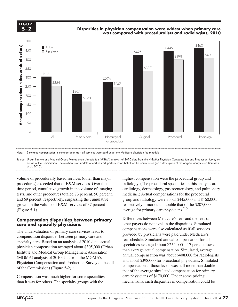**FIGURE F i g ur e 5-2 5–2**

#### **Disparities in physician compensation were widest when primary care was compared with proceduralists and radiologists, 2010**



Note: Simulated compensation is compensation as if all services were paid under the Medicare physician fee schedule.

Source: Urban Institute and Medical Group Management Association (MGMA) analysis of 2010 data from the MGMA's Physician Compensation and Production Survey on behalf of the Commission. The analysis is an update of earlier work performed on behalf of the Commission (for a description of the original analysis see Berenson et al. 2010).

volume of procedurally based services (other than major procedures) exceeded that of E&M services. Over that time period, cumulative growth in the volume of imaging, tests, and other procedures totaled 73 percent, 90 percent, and 69 percent, respectively, surpassing the cumulative growth in the volume of E&M services of 37 percent (Figure 5-1).  $\mathcal{L}$  is in the datasheet. Make updates in the datasheet. Make updates in the datasheet. Make updates in the datasheet.

#### **Compensation disparities between primary FULLITETENCES DETWEEN care and specialty physicians**

The undervaluation of primary care services leads to compensation disparities between primary care and specialty care. Based on an analysis of 2010 data, actual inclusion consisting sympathetics are to contain the legacy of  $\alpha$ physician compensation averaged about \$305,000 (Urban Institute and Medical Group Management Association mstrute and included Group Management Association.<br>(MGMA) analysis of 2010 data from the MGMA's Physician Compensation and Production Survey on behalf and a of the Commission) (Figure 5-2).<sup>1</sup>

Compensation was much higher for some specialties than it was for others. The specialty groups with the

highest compensation were the procedural group and radiology. (The procedural specialties in this analysis are cardiology, dermatology, gastroenterology, and pulmonary medicine.) Actual compensations for the procedural group and radiology were about \$445,000 and \$460,000, respectively—more than double that of the \$207,000 average for primary care physicians.<sup>2, 3</sup>

Differences between Medicare's fees and the fees of other payers do not explain the disparities. Simulated compensations were also calculated as if all services ervandation of primary care services reads to<br>
provided by physicians were paid under Medicare's<br>
sation disparities between primary care and fee schedule. Simulated annual compensation for all specialties averaged about \$254,000—17 percent lower In compensation averaged about \$505,000 (Croan<br>than average actual compensation. Simulated, average annual compensation was about \$408,000 for radiologists and about \$398,000 for procedural physicians. Simulated compensation at those levels was still more than double ommission) (Figure 5-2).<sup>4</sup> that of the average simulated compensation for primary that of the average simulated compensation for primary care physicians of \$170,000. Under some pricing mechanisms, such disparities in compensation could be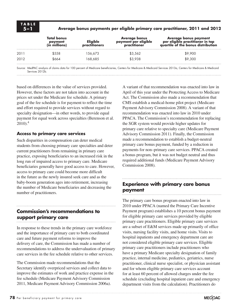#### **5–1 Average bonus payments per eligible primary care practitioner, 2011 and 2012**

|      | Total bonus<br>payment<br>(in millions) | <b>Eligible</b><br><b>practitioners</b> | Average bonus<br>payment per eligible<br>practitioner | <b>Average bonus payment</b><br>per eligible practitioner in top<br>quartile of the bonus distribution |
|------|-----------------------------------------|-----------------------------------------|-------------------------------------------------------|--------------------------------------------------------------------------------------------------------|
| 2011 | \$558                                   | 156.673                                 | \$3,562                                               | \$9,900                                                                                                |
| 2012 | \$664                                   | 168.685                                 | \$3,938                                               | \$9,300                                                                                                |
|      |                                         |                                         |                                                       |                                                                                                        |

Source: MedPAC analysis of claims data for 100 percent of Medicare beneficiaries, Centers for Medicare & Medicaid Services 2013a, Centers for Medicare & Medicaid Services 2012b.

based on differences in the value of services provided. However, these factors are not taken into account in the prices set under the Medicare fee schedule. A primary goal of the fee schedule is for payment to reflect the time and effort required to provide services without regard to specialty designation—in other words, to provide equal payment for equal work across specialties (Berenson et al.  $2010$ ).<sup>4</sup>

#### **Access to primary care services**

Such disparities in compensation can deter medical students from choosing primary care specialties and deter current practitioners from remaining in primary care practice, exposing beneficiaries to an increased risk in the long run of impaired access to primary care. Medicare beneficiaries generally have good access to care. However, access to primary care could become more difficult in the future as the newly insured seek care and as the baby-boom generation ages into retirement, increasing the number of Medicare beneficiaries and decreasing the number of practitioners.

## **Commission's recommendations to support primary care**

In response to these trends in the primary care workforce and the importance of primary care to both coordinated care and future payment reforms to improve the delivery of care, the Commission has made a number of recommendations to address the undervaluation of primary care services in the fee schedule relative to other services.

The Commission made recommendations that the Secretary identify overpriced services and collect data to improve the estimates of work and practice expense in the fee schedule (Medicare Payment Advisory Commission 2011, Medicare Payment Advisory Commission 2006a).

A variant of that recommendation was enacted into law in April of this year under the Protecting Access to Medicare Act. The Commission also made a recommendation that CMS establish a medical-home pilot project (Medicare Payment Advisory Commission 2008). A variant of that recommendation was enacted into law in 2010 under PPACA. The Commission's recommendation for replacing the SGR system would provide higher updates for primary care relative to specialty care (Medicare Payment Advisory Commission 2011). Finally, the Commission made a recommendation to establish a budget-neutral primary care bonus payment, funded by a reduction in payments for non–primary care services. PPACA created a bonus program, but it was not budget neutral and thus required additional funds (Medicare Payment Advisory Commission 2008).

# **Experience with primary care bonus payment**

The primary care bonus program enacted into law in 2010 under PPACA (named the Primary Care Incentive Payment program) establishes a 10 percent bonus payment for eligible primary care services provided by eligible primary care practitioners. Eligible primary care services are a subset of E&M services made up primarily of office visits, nursing facility visits, and home visits. Visits to hospital inpatients and emergency department care are not considered eligible primary care services. Eligible primary care practitioners include practitioners who have a primary Medicare specialty designation of family practice, internal medicine, pediatrics, geriatrics, nurse practitioner, clinical nurse specialist, or physician assistant and for whom eligible primary care services account for at least 60 percent of allowed charges under the fee schedule (excluding hospital inpatient care and emergency department visits from the calculation). Practitioners do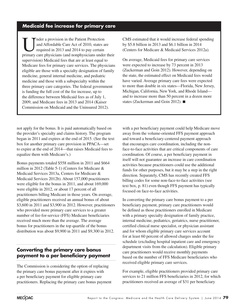## **Medicaid fee increase for primary care**

I mder a provision in the Patient Protection<br>and Affordable Care Act of 2010, states a<br>required in 2013 and 2014 to pay certain and Affordable Care Act of 2010, states are required in 2013 and 2014 to pay certain primary care physicians (and nonphysicians under their supervision) Medicaid fees that are at least equal to Medicare fees for primary care services. The physicians eligible are those with a specialty designation of family medicine, general internal medicine, and pediatric medicine and those with a subspecialty within the three primary care categories. The federal government is funding the full cost of the fee increase, up to the difference between Medicaid fees as of July 1, 2009, and Medicare fees in 2013 and 2014 (Kaiser Commission on Medicaid and the Uninsured 2012).

not apply for the bonus. It is paid automatically based on the provider's specialty and claims history. The program began in 2011 and expires at the end of 2015. (See the text box for another primary care provision in PPACA—set to expire at the end of 2014—that raises Medicaid fees to equalize them with Medicare's.)

Bonus payments totaled \$558 million in 2011 and \$664 million in 2012 (Table 5-1) (Centers for Medicare & Medicaid Services 2013a, Centers for Medicare & Medicaid Services 2012b). About 157,000 practitioners were eligible for the bonus in 2011, and about 169,000 were eligible in 2012, or about 17 percent of all practitioners billing Medicare in those years. On average, eligible practitioners received an annual bonus of about \$3,600 in 2011 and \$3,900 in 2012. However, practitioners who provided more primary care services to a greater number of fee-for-service (FFS) Medicare beneficiaries received much more than the average. The average bonus for practitioners in the top quartile of the bonus distribution was about \$9,900 in 2011 and \$9,300 in 2012.

# **Converting the primary care bonus payment to a per beneficiary payment**

The Commission is considering the option of replacing the primary care bonus payment after it expires with a per beneficiary payment for eligible primary care practitioners. Replacing the primary care bonus payment CMS estimated that it would increase federal spending by \$5.8 billion in 2013 and \$6.1 billion in 2014 (Centers for Medicare & Medicaid Services 2012a).

On average, Medicaid fees for primary care services were expected to increase by 73 percent in 2013 (Zuckerman and Goin 2012). However, depending on the state, the estimated effect on Medicaid fees would have varied. Average primary care fees were expected to more than double in six states—Florida, New Jersey, Michigan, California, New York, and Rhode Island and to increase more than 50 percent in a dozen more states (Zuckerman and Goin 2012). ■

with a per beneficiary payment could help Medicare move away from the volume-oriented FFS payment approach and toward a beneficiary-centered payment approach that encourages care coordination, including the nonface-to-face activities that are critical components of care coordination. Of course, a per beneficiary payment in itself will not guarantee an increase in care coordination activities because practitioners could use the additional funds for other purposes, but it may be a step in the right direction. Separately, CMS has recently created FFS billing codes for some non-face-to-face activities (see text box, p. 81) even though FFS payment has typically focused on face-to-face activities.

In converting the primary care bonus payment to a per beneficiary payment, primary care practitioners would be defined as those practitioners enrolled in Medicare with a primary specialty designation of family practice, internal medicine, pediatrics, geriatrics, nurse practitioner, certified clinical nurse specialist, or physician assistant and for whom eligible primary care services account for at least 60 percent of allowed charges under the fee schedule (excluding hospital inpatient care and emergency department visits from the calculation). Eligible primary care practitioners would receive monthly payments based on the number of FFS Medicare beneficiaries who received eligible primary care services.

For example, eligible practitioners provided primary care services to 21 million FFS beneficiaries in 2012, for which practitioners received an average of \$31 per beneficiary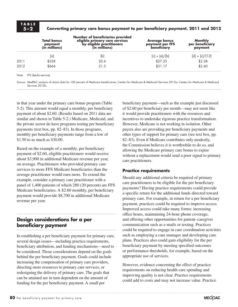#### **5–2 Converting primary care bonus payment to per beneficiary payment, 2011 and 2012**

|      | <b>Total bonus</b><br>payment<br>(in millions) | Number of beneficiaries provided<br>eligible primary care services<br>by eligible practitioners<br>(in millions) | Average bonus<br>payment per FFS<br>beneficiary | Monthly<br>per beneficiary<br>payment |
|------|------------------------------------------------|------------------------------------------------------------------------------------------------------------------|-------------------------------------------------|---------------------------------------|
|      | la                                             | b                                                                                                                | $[c] = [a]/[b]$                                 | $[d] = [c]/[12]$                      |
| 2011 | \$558                                          | 20.4                                                                                                             | \$27.35                                         | \$2.28                                |
| 2012 | \$664                                          | 21.3                                                                                                             | \$31.17                                         | \$2.60                                |
|      | Note: FFS Ifee for service)                    |                                                                                                                  |                                                 |                                       |

Note: FFS (fee-for-service).

Source: MedPAC analysis of claims data for 100 percent of Medicare beneficiaries; Centers for Medicare & Medicaid Services 2013a; Centers for Medicare & Medicaid Services 2012b.

in that year under the primary care bonus program (Table 5-2). This amount would equal a monthly, per beneficiary payment of about \$2.60. (Results based on 2011 data are similar and shown in Table 5-2.) Medicare, Medicaid, and the private sector do have programs testing per beneficiary payments (text box, pp. 82–83). In those programs, monthly per beneficiary payments range from a low of \$1.50 to as much as \$30.00.

Based on the example of a monthly, per beneficiary payment of \$2.60, eligible practitioners would receive about \$3,900 in additional Medicare revenue per year, on average. Practitioners who provided primary care services to more FFS Medicare beneficiaries than the average practitioner would earn more. To extend the example, consider a primary care practitioner with a panel of 1,400 patients of which 280 (20 percent) are FFS Medicare beneficiaries. A \$2.60 monthly, per beneficiary payment would provide \$8,700 in additional Medicare revenue per year.

## **Design considerations for a per beneficiary payment**

In establishing a per beneficiary payment for primary care, several design issues—including practice requirements, beneficiary attribution, and funding mechanisms—need to be considered. Those considerations depend on the goals behind the per beneficiary payment. Goals could include increasing the compensation of primary care providers, directing more resources to primary care services, or redesigning the delivery of primary care. The goals that can be attained are in turn dependent on the amount of funding for the per beneficiary payment. A small per

beneficiary payment—such as the example just discussed of \$2.60 per beneficiary per month—may not seem like it would provide practitioners with the resources and incentives to undertake rigorous practice transformation. However, Medicare is not working in isolation. Other payers also are providing per beneficiary payments and other types of support for primary care (see text box, pp. 82–83). Even if Medicare contributes only modestly, the Commission believes it is worthwhile to do so, and allowing the Medicare primary care bonus to expire without a replacement would send a poor signal to primary care practitioners.

#### **Practice requirements**

Should any additional criteria be required of primary care practitioners to be eligible for the per beneficiary payments? Having practice requirements could provide a specific return for the additional funds directed toward primary care. For example, in return for a per beneficiary payment, practices could be required to improve access. Improved access could take many forms: increasing office hours, maintaining 24-hour phone coverage, and offering other opportunities for patient–caregiver communication such as e-mails or texting. Practices could be required to engage in care coordination activities such as employing a care manager and developing care plans. Practices also could gain eligibility for the per beneficiary payment by meeting specified outcomes or performance thresholds, for example, based on the appropriate use of services.

However, evidence concerning the effect of practice requirements on reducing health care spending and improving quality is not clear. Practice requirements could add to costs and may not increase value. Practice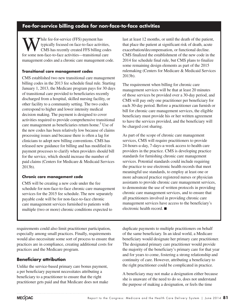## **Fee-for-service billing codes for non-face-to-face activities**

While fee-for-service (FFS) payment has<br>typically focused on face-to-face activity<br>CMS has recently created FFS billing c<br>for some non-face to face activities transitional of typically focused on face-to-face activities, CMS has recently created FFS billing codes for some non-face-to-face activities—transitional care management codes and a chronic care management code.

#### **Transitional care management codes**

CMS established two new transitional care management billing codes in the 2013 fee schedule final rule. Starting January 1, 2013, the Medicare program pays for 30 days of transitional care provided to beneficiaries recently discharged from a hospital, skilled nursing facility, or other facility to a community setting. The two codes correspond to higher and lower intensity medical decision making. The payment is designed to cover activities required to provide comprehensive transitional care management as beneficiaries return home.<sup>5</sup> Use of the new codes has been relatively low because of claims processing issues and because there is often a lag for clinicians to adopt new billing conventions. CMS has released new guidance for billing and has modified its payment processes to clarify when providers should bill for the service, which should increase the number of paid claims (Centers for Medicare & Medicaid Services 2013b).

#### **Chronic care management code**

CMS will be creating a new code under the fee schedule for non-face-to-face chronic care management services for the 2015 fee schedule. The new separately payable code will be for non-face-to-face chronic care management services furnished to patients with multiple (two or more) chronic conditions expected to

last at least 12 months, or until the death of the patient, that place the patient at significant risk of death, acute exacerbation/decompensation, or functional decline. CMS finalized the establishment of the new code in the 2014 fee schedule final rule, but CMS plans to finalize some remaining design elements as part of the 2015 rulemaking (Centers for Medicare & Medicaid Services 2013b).

The requirement when billing for chronic care management services will be that at least 20 minutes of those services be provided over a 30-day period, and CMS will pay only one practitioner per beneficiary for each 30-day period. Before a practitioner can furnish or bill for chronic care management services, the eligible beneficiary must provide his or her written agreement to have the services provided, and the beneficiary will be charged cost sharing.

As part of the scope of chronic care management services, CMS will require practitioners to provide 24-hours-a-day, 7-days-a-week access to health care providers in the practice. CMS is developing practice standards for furnishing chronic care management services. Potential standards could include requiring the practice to use electronic health records that meet meaningful use standards, to employ at least one or more advanced practice registered nurses or physician assistants to provide chronic care management services, to demonstrate the use of written protocols in providing chronic care management services, and to ensure that all practitioners involved in providing chronic care management services have access to the beneficiary's electronic health record. ■

requirements could also limit practitioner participation, especially among small practices. Finally, requirements would also necessitate some sort of process to ensure that practices are in compliance, creating additional costs for practices and the Medicare program.

## **Beneficiary attribution**

Unlike the service-based primary care bonus payment, a per beneficiary payment necessitates attributing a beneficiary to a practitioner to ensure that the right practitioner gets paid and that Medicare does not make duplicate payments to multiple practitioners on behalf of the same beneficiary. In an ideal world, a Medicare beneficiary would designate her primary care practitioner. The designated primary care practitioner would provide the majority of the beneficiary's primary care for that year and for years to come, fostering a strong relationship and continuity of care. However, attributing a beneficiary to the right practitioner could be complicated in practice.

A beneficiary may not make a designation either because she is unaware of the need to do so, does not understand the purpose of making a designation, or feels the time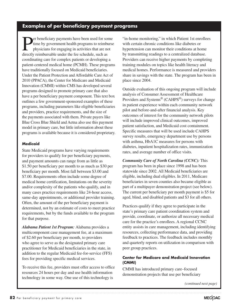# **Examples of per beneficiary payment programs**

Per beneficiary payments have been used for some<br>time by government health programs to reimburse<br>physicians for engaging in activities that are not<br>directly reimburseble under the for schedule, such as time by government health programs to reimburse physicians for engaging in activities that are not directly reimbursable under the fee schedule, such as coordinating care for complex patients or developing a patient-centered medical home (PCMH). These programs have traditionally focused on Medicaid beneficiaries. Under the Patient Protection and Affordable Care Act of 2010 (PPACA), the Center for Medicare and Medicaid Innovation (CMMI) within CMS has developed several programs designed to promote primary care that also have a per beneficiary payment component. This text box outlines a few government-sponsored examples of these programs, including parameters like eligible beneficiaries and providers, practice requirements, and the size of the payments associated with them. Private payers like Blue Cross Blue Shield and Aetna also use this payment model in primary care, but little information about these programs is available because it is considered proprietary.

#### **Medicaid**

State Medicaid programs have varying requirements for providers to qualify for per beneficiary payments, and payment amounts can range from as little as \$1.50 per beneficiary per month to as much as \$30 per beneficiary per month. Most fall between \$3.00 and \$7.00. Requirements often include some degree of medical home certification, limitations on the severity and/or complexity of the patients who qualify, and in many cases practice requirements like 24-hour access, same-day appointments, or additional provider training. Often, the amount of the per beneficiary payment is determined, not by an estimate of costs to meet practice requirements, but by the funds available to the program for that purpose.

*Alabama Patient 1st Program:* Alabama provides a multicomponent case management fee, at a maximum of \$2.60 per beneficiary per month, to providers who agree to serve as the designated primary care practitioner for Medicaid beneficiaries in the state, in addition to the regular Medicaid fee-for-service (FFS) fees for providing specific medical services.

To receive this fee, providers must offer access to office resources 24 hours per day and use health information technology in some way. One use of this technology is

"in-home monitoring," in which Patient 1st enrollees with certain chronic conditions like diabetes or hypertension can monitor their conditions at home by transmitting readings to a centralized database. Providers can receive higher payments by completing training modules on topics like health literacy and medical homes. Performance is measured and providers share in savings with the state. The program has been in place since 2004.

Outside evaluation of this ongoing program will include analysis of Consumer Assessment of Healthcare Providers and Systems® (CAHPS®) surveys for change in patient experience within each community network pilot and before-and-after financial analysis. Key outcomes of interest for the community network pilots will include improved clinical outcomes, improved patient satisfaction, and Medicaid cost containment. Specific measures that will be used include CAHPS survey results, emergency department use by persons with asthma, HbA1C measures for persons with diabetes, inpatient hospitalization rates, immunization rates, and average number of office visits.

*Community Care of North Carolina (CCNC):* This program has been in place since 1998 and has been statewide since 2002. All Medicaid beneficiaries are eligible, including dual eligibles. In 2011, Medicare beneficiaries in seven counties also became eligible as part of a multipayer demonstration project (see below). The current per beneficiary per month payment is \$5 for aged, blind, and disabled patients and \$3 for all others.

Practices qualify if they agree to participate in the state's primary care patient coordination system and provide, coordinate, or authorize all necessary medical care for the practice's enrollees. A regional CCNC entity assists in care management, including identifying resources, collecting performance data, and providing feedback to practices. The feedback includes monthly and quarterly reports on utilization in comparison with peer group practices.

#### **Center for Medicare and Medicaid Innovation (CMMI)**

CMMI has introduced primary care–focused demonstration projects that use per beneficiary

*(continued next page)*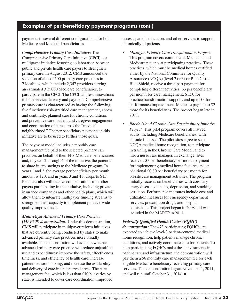## **Examples of per beneficiary payment programs (cont.)**

payments in several different configurations, for both Medicare and Medicaid beneficiaries.

*Comprehensive Primary Care Initiative:* The Comprehensive Primary Care Initiative (CPCI) is a multipayer initiative fostering collaboration between public and private health care payers to strengthen primary care. In August 2012, CMS announced the selection of almost 500 primary care practices in 7 localities, which include 2,347 providers serving an estimated 315,000 Medicare beneficiaries, to participate in the CPCI. The CPCI will test innovations in both service delivery and payment. Comprehensive primary care is characterized as having the following five functions: risk-stratified care management, access and continuity, planned care for chronic conditions and preventive care, patient and caregiver engagement, and coordination of care across the "medical neighborhood." The per beneficiary payments in this initiative are to be used to further those goals.

The payment model includes a monthly care management fee paid to the selected primary care practices on behalf of their FFS Medicare beneficiaries and, in years 2 through 4 of the initiative, the potential to share in any savings to the Medicare program. In years 1 and 2, the average per beneficiary per month amount is \$20, and in years 3 and 4 it drops to \$15. Practices also will receive compensation from other payers participating in the initiative, including private insurance companies and other health plans, which will allow them to integrate multipayer funding streams to strengthen their capacity to implement practice-wide quality improvement.

## *Multi-Payer Advanced Primary Care Practice*

*(MAPCP) demonstration:* Under this demonstration, CMS will participate in multipayer reform initiatives that are currently being conducted by states to make advanced primary care practices more broadly available. The demonstration will evaluate whether advanced primary care practice will reduce unjustified use and expenditures; improve the safety, effectiveness, timeliness, and efficiency of health care; increase patient decision making; and increase the availability and delivery of care in underserved areas. The care management fee, which is less than \$10 but varies by state, is intended to cover care coordination, improved

access, patient education, and other services to support chronically ill patients.

- *• Michigan Primary Care Transformation Project:* This program covers commercial, Medicaid, and Medicare patients at participating practices. These practices, which must be medical homes certified either by the National Committee for Quality Assurance (NCQA) (level 2 or 3) or Blue Cross Blue Shield, receive a three-part payment for completing different activities: \$3 per beneficiary per month for care management, \$1.50 for practice transformation support, and up to \$3 for performance improvement. Medicare pays up to \$2 more for its beneficiaries. The project began late in 2011.
- *• Rhode Island Chronic Care Sustainability Initiative Project:* This pilot program covers all insured adults, including Medicare beneficiaries, with chronic illnesses. The pilot sites agree to seek NCQA medical home recognition, to participate in training in the Chronic Care Model, and to hire a nurse care manager. In exchange, sites receive a \$3 per beneficiary per month payment for implementing medical home features and an additional \$0.80 per beneficiary per month for on-site care management activities. The program initially focuses on beneficiaries with coronary artery disease, diabetes, depression, and smoking cessation. Performance measures include cost and utilization measures for emergency department services, prescription drugs, and hospital admissions. This project began in 2008 and was included in the MAPCP in 2011.

#### *Federally Qualified Health Center (FQHC)*

*demonstration:* The 473 participating FQHCs are expected to achieve level-3 patient-centered medical home recognition, help patients manage chronic conditions, and actively coordinate care for patients. To help participating FQHCs make these investments in patient care and infrastructure, the demonstration will pay them a \$6 monthly care management fee for each eligible Medicare beneficiary receiving primary care services. This demonstration began November 1, 2011, and will run until October 31, 2014. ■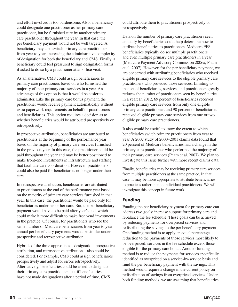**84** Per beneficiary payment for primary care

and effort involved is too burdensome. Also, a beneficiary could designate one practitioner as her primary care practitioner, but be furnished care by another primary care practitioner throughout the year. In that case, the per beneficiary payment would not be well targeted. A beneficiary may also switch primary care practitioners from year to year, increasing the administrative complexity of designation for both the beneficiary and CMS. Finally, a beneficiary could feel pressured to sign designation forms if asked to do so by a practitioner at an office visit.

As an alternative, CMS could assign beneficiaries to primary care practitioners based on who furnished the majority of their primary care services in a year. An advantage of this option is that it would be easier to administer. Like the primary care bonus payment, the practitioner would receive payment automatically without extra paperwork requirements on behalf of practitioners and beneficiaries. This option requires a decision as to whether beneficiaries would be attributed prospectively or retrospectively.

In prospective attribution, beneficiaries are attributed to practitioners at the beginning of the performance year based on the majority of primary care services furnished in the previous year. In this case, the practitioner could be paid throughout the year and may be better positioned to make front-end investments in infrastructure and staffing that facilitate care coordination. However, practitioners could also be paid for beneficiaries no longer under their care.

In retrospective attribution, beneficiaries are attributed to practitioners at the end of the performance year based on the majority of primary care services furnished in that year. In this case, the practitioner would be paid only for beneficiaries under his or her care. But, the per beneficiary payment would have to be paid after year's end, which could make it more difficult to make front-end investments in the practice. Of course, for practitioners who see the same number of Medicare beneficiaries from year to year, annual per beneficiary payments would be similar under prospective and retrospective attribution.

Hybrids of the three approaches—designation, prospective attribution, and retrospective attribution—also could be considered. For example, CMS could assign beneficiaries prospectively and adjust for errors retrospectively. Alternatively, beneficiaries could be asked to designate their primary care practitioners, but if beneficiaries have not made designations after a period of time, CMS

could attribute them to practitioners prospectively or retrospectively.

Data on the number of primary care practitioners seen annually by beneficiaries could help determine how to attribute beneficiaries to practitioners. Medicare FFS beneficiaries typically do see multiple practitioners and even multiple primary care practitioners in a year (Medicare Payment Advisory Commission 2006a, Pham et al. 2007). However, for the per beneficiary payment, we are concerned with attributing beneficiaries who received eligible primary care services to the eligible primary care practitioners who provided those services. Limiting to that set of beneficiaries, services, and practitioners greatly reduces the number of practitioners seen by beneficiaries in a year: In 2012, 69 percent of beneficiaries received eligible primary care services from only one eligible primary care practitioner, and 90 percent of beneficiaries received eligible primary care services from one or two eligible primary care practitioners.

It also would be useful to know the extent to which beneficiaries switch primary practitioners from year to year. A 2007 study of 2000–2001 claims data found that 20 percent of Medicare beneficiaries had a change in the primary care practitioner who performed the majority of their primary care services (Pham et al. 2007). We plan to investigate this issue further with more recent claims data.

Finally, beneficiaries may be receiving primary care services from multiple practitioners at the same practice. In that case, it may be more appropriate to attribute beneficiaries to practices rather than to individual practitioners. We will investigate this concept in future work.

## **Funding**

Funding the per beneficiary payment for primary care can address two goals: increase support for primary care and rebalance the fee schedule. These goals can be achieved by reducing payments for overpriced services and redistributing the savings to the per beneficiary payment. One funding method is to apply an equal percentage reduction to the payments of those services most likely to be overpriced: services in the fee schedule except those eligible for the primary care bonus. Another funding method is to reduce the payments for services specifically identified as overpriced on a service-by-service basis and fund the per beneficiary payment with the savings. This method would require a change in the current policy on redistribution of savings from overpriced services. Under both funding methods, we are assuming that beneficiaries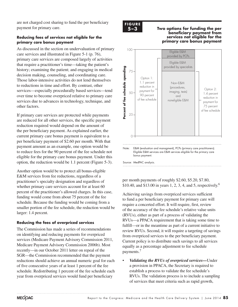are not charged cost sharing to fund the per beneficiary payment for primary care.

#### **Reducing fees of services not eligible for the primary care bonus payment**

As discussed in the section on undervaluation of primary care services and illustrated in Figure 5-1 (p. 76), primary care services are composed largely of activities that require a practitioner's time—taking the patient's history; examining the patient; and engaging in medical decision making, counseling, and coordinating care. Those labor-intensive activities do not lend themselves to reductions in time and effort. By contrast, other services—especially procedurally based services—tend over time to become overpriced relative to primary care services due to advances in technology, technique, and other factors.

If primary care services are protected while payments are reduced for all other services, the specific payment reduction required would depend on the amount of the per beneficiary payment. As explained earlier, the current primary care bonus payment is equivalent to a per beneficiary payment of \$2.60 per month. With that payment amount as an example, one option would be to reduce fees for the 90 percent of the fee schedule not eligible for the primary care bonus payment. Under this option, the reduction would be 1.1 percent (Figure 5-3).

Another option would be to protect all bonus-eligible E&M services from fee reductions, regardless of a practitioner's specialty designation and regardless of whether primary care services account for at least 60 percent of the practitioner's allowed charges. In this case, funding would come from about 75 percent of the fee schedule. Because the funding would be coming from a smaller portion of the fee schedule, the reduction would be larger: 1.4 percent.

#### **Reducing the fees of overpriced services**

The Commission has made a series of recommendations on identifying and reducing payments for overpriced services (Medicare Payment Advisory Commission 2011, Medicare Payment Advisory Commission 2006b). Most recently—in our October 2011 letter on repeal of the SGR—the Commission recommended that the payment reductions should achieve an annual numeric goal for each of five consecutive years of at least 1 percent of the fee schedule. Redistributing 1 percent of the fee schedule each year from overpriced services would fund per beneficiary



#### **5–3 Two options for funding the per beneficiary payment from services not eligible for the primary care bonus payment**



per month payments of roughly \$2.60, \$5.20, \$7.80, \$10.40, and \$13.00 in years 1, 2, 3, 4, and 5, respectively.<sup>6</sup>

Achieving savings from overpriced services sufficient to fund a per beneficiary payment for primary care will require a concerted effort. It will require, first, review of the accuracy of the fee schedule's relative value units (RVUs), either as part of a process of validating the (KVUS), ender as part of a process of vandating the<br>RVUs—a PPACA requirement that is taking some time to fulfill—or in the meantime as part of a current initiative to review RVUs. Second, it will require a targeting of savings from overpriced services to the per beneficiary payment. From overpriced services to the performation to graphiem.<br>Current policy is to distribute such savings to all services equally as a percentage adjustment to fee schedule payments.7

Validating the RVUs of overpriced services—Under a provision in PPACA, the Secretary is required to establish a process to validate the fee schedule's RVUs. The validation process is to include a sampling of services that meet criteria such as rapid growth,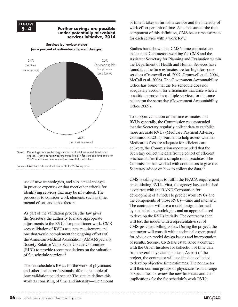**F i g ur e FIGURE 5–4**

#### **5–4 Further savings are possible Further savings are... under potentially misvalued services initiative, 2014**



**Services by review status (as a percent of estimated allowed charges)**

charges. Services reviewed are those listed in fee schedule final rules for 2009 to 2014 as new, revised, or potentially misvalued.

Source: CMS final rules and utilization file for 2014 impacts. Note: Note and Source in InDesign.

use of new technologies, and substantial changes in practice expenses or that meet other criteria for identifying services that may be misvalued. The process is to consider work elements such as time, mental effort, and other factors.

As part of the validation process, the law gives the Secretary the authority to make appropriate adjustments to the RVUs for practitioner work. CMS sees validation of RVUs as a new requirement and one that would complement the ongoing efforts of the American Medical Association (AMA)/Specialty Society Relative Value Scale Update Committee (RUC) to provide recommendations on the valuation of fee schedule services.8

The fee schedule's RVUs for the work of physicians and other health professionals offer an example of how validation could occur.<sup>9</sup> The statute defines this work as consisting of time and intensity—the amount of time it takes to furnish a service and the intensity of work effort per unit of time. As a measure of the time component of this definition, CMS has a time estimate for each service with a work RVU.

Studies have shown that CMS's time estimates are inaccurate. Contractors working for CMS and the Assistant Secretary for Planning and Evaluation within the Department of Health and Human Services have found that the time estimates are too high for some services (Cromwell et al. 2007, Cromwell et al. 2004, McCall et al. 2006). The Government Accountability Office has found that the fee schedule does not adequately account for efficiencies that arise when a practitioner provides multiple services for the same patient on the same day (Government Accountability Office 2009).

To support validation of the time estimates and RVUs generally, the Commission recommended that the Secretary regularly collect data to establish more accurate RVUs (Medicare Payment Advisory Commission 2011). Further, to help assess whether Medicare's fees are adequate for efficient care delivery, the Commission recommended that the Secretary collect the data from a cohort of efficient practices rather than a sample of all practices. The Commission has worked with contractors to give the Secretary advice on how to collect the data.<sup>10</sup>

CMS is taking steps to fulfill the PPACA requirement on validating RVUs. First, the agency has established a contract with the RAND Corporation for development of a model to predict work RVUs and the components of those RVUs—time and intensity. The contractor will use a model design informed by statistical methodologies and an approach used to develop the RVUs initially. The contractor then will test the model with a representative set of CMS-provided billing codes. During the project, the contractor will consult with a technical expert panel for advice on model design issues and interpretation of results. Second, CMS has established a contract with the Urban Institute for collection of time data from several physician practices. As part of the project, the contractor will use the data collected to develop objective time estimates. The contractor will then convene groups of physicians from a range of specialties to review the new time data and their implications for the fee schedule's work RVUs.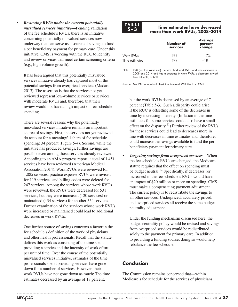• *Reviewing RVUs under the current potentially misvalued services initiative—*Pending validation of the fee schedule's RVUs, there is an initiative concerning potentially misvalued services now underway that can serve as a source of savings to fund a per beneficiary payment for primary care. Under this initiative, CMS is working with the RUC to identify and review services that meet certain screening criteria (e.g., high volume growth).

It has been argued that this potentially misvalued services initiative already has captured most of the potential savings from overpriced services (Madara 2013). The assertion is that the services not yet reviewed represent low-volume services or services with moderate RVUs and, therefore, that their review would not have a high impact on fee schedule spending.

There are several reasons why the potentially misvalued services initiative remains an important source of savings. First, the services not yet reviewed do account for a meaningful share of fee schedule spending: 34 percent (Figure 5-4). Second, while the initiative has produced savings, further savings are possible even among those services already reviewed. According to an AMA progress report, a total of 1,451 services have been reviewed (American Medical Association 2014). Work RVUs were reviewed for 1,085 services, practice expense RVUs were revised for 119 services, and billing codes were deleted for 247 services. Among the services whose work RVUs were reviewed, the RVUs were decreased for 531 services, but they were increased (120 services) or maintained (434 services) for another 554 services. Further examination of the services whose work RVUs were increased or maintained could lead to additional decreases in work RVUs.

One further source of savings concerns a factor in the fee schedule's definition of the work of physicians and other health professionals. Recall that the statute defines this work as consisting of the time spent providing a service and the intensity of work effort per unit of time. Over the course of the potentially misvalued services initiative, estimates of the time professionals spend providing services have gone down for a number of services. However, their work RVUs have not gone down as much: The time estimates decreased by an average of 18 percent,



#### **5–3 Time estimates have decreased more than work RVUs, 2008–2014**

|                             | Number of<br>services | <b>Average</b><br>percent<br>change |
|-----------------------------|-----------------------|-------------------------------------|
| Work RVUs<br>Time estimates |                       | $-7\%$<br>18                        |

Note: RVU (relative value unit). Services had work RVUs and time estimates in 2008 and 2014 and had a decrease in work RVUs, a decrease in work time estimate, or both.

Source: MedPAC analysis of physician time and RVU files from CMS.

but the work RVUs decreased by an average of 7 percent (Table 5-3). Such a disparity could arise if the RUC is offsetting some of the decreases in time by increasing intensity. (Inflation in the time estimates for some services could also have a small effect on the disparity.<sup>11</sup>) Further review of the RVUs for these services could lead to decreases more in line with decreases in time estimates and, therefore, could increase the savings available to fund the per beneficiary payment for primary care.

*Targeting savings from overpriced services***—When** the fee schedule's RVUs are changed, the Medicare statute requires that the effect on spending must be budget neutral.<sup>12</sup> Specifically, if decreases (or increases) in the fee schedule's RVUs would have an impact of \$20 million or more on spending, CMS must make a compensating payment adjustment. The current policy is to redistribute the savings to all other services. Underpriced, accurately priced, and overpriced services all receive the same budgetneutrality adjustment.

Under the funding mechanism discussed here, the budget-neutrality policy would be revised and savings from overpriced services would be redistributed solely to the payment for primary care. In addition to providing a funding source, doing so would help rebalance the fee schedule.

## **Conclusion**

The Commission remains concerned that—within Medicare's fee schedule for the services of physicians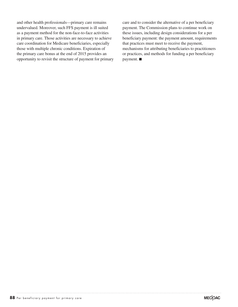and other health professionals—primary care remains undervalued. Moreover, such FFS payment is ill suited as a payment method for the non-face-to-face activities in primary care. Those activities are necessary to achieve care coordination for Medicare beneficiaries, especially those with multiple chronic conditions. Expiration of the primary care bonus at the end of 2015 provides an opportunity to revisit the structure of payment for primary care and to consider the alternative of a per beneficiary payment. The Commission plans to continue work on these issues, including design considerations for a per beneficiary payment: the payment amount, requirements that practices must meet to receive the payment, mechanisms for attributing beneficiaries to practitioners or practices, and methods for funding a per beneficiary payment. ■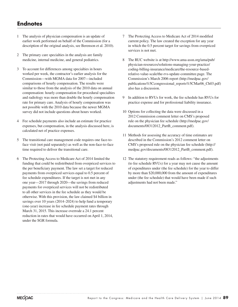# **Endnotes**

- 1 The analysis of physician compensation is an update of earlier work performed on behalf of the Commission (for a description of the original analysis, see Berenson et al. 2010).
- 2 The primary care specialties in the analysis are family medicine, internal medicine, and general pediatrics.
- 3 To account for differences among specialties in hours worked per week, the contractor's earlier analysis for the Commission—with MGMA data for 2007—included comparisons of hourly compensation. The results were similar to those from the analysis of the 2010 data on annual compensation: hourly compensation for procedural specialties and radiology was more than double the hourly compensation rate for primary care. Analysis of hourly compensation was not possible with the 2010 data because the newer MGMA survey did not include questions about hours worked.
- 4 Fee schedule payments also include an estimate for practice expenses, but compensation, in the analysis discussed here, is calculated net of practice expenses.
- 5 The transitional care management code requires one face-toface visit (not paid separately) as well as the non-face-to-face time required to deliver the transitional care.
- 6 The Protecting Access to Medicare Act of 2014 limited the funding that could be redistributed from overpriced services to the per beneficiary payment. The law set a target for reduced payments from overpriced services equal to 0.5 percent of fee schedule expenditures. If the target is not met in any one year—2017 through 2020—the savings from reduced payments for overpriced services will not be redistributed to all other services in the fee schedule as they would be otherwise. With this provision, the law claimed \$4 billion in savings over 10 years (2014–2024) to help fund a temporary (one-year) increase in fee schedule payment rates through March 31, 2015. This increase overrode a 24.1 percent reduction in rates that would have occurred on April 1, 2014, under the SGR formula.
- 7 The Protecting Access to Medicare Act of 2014 modified current policy. The law created the exception for any year in which the 0.5 percent target for savings from overpriced services is not met.
- 8 The RUC website is at http://www.ama-assn.org/ama/pub/ physician-resources/solutions-managing-your-practice/ coding-billing-insurance/medicare/the-resource-basedrelative-value-scale/the-rvs-update-committee.page. The Commission's March 2006 report (http://medpac.gov/ publications%5Ccongressional\_reports%5CMar06\_Ch03.pdf) also has a discussion.
- 9 In addition to RVUs for work, the fee schedule has RVUs for practice expense and for professional liability insurance.
- 10 Options for collecting the data were discussed in a 2012 Commission comment letter on CMS's proposed rule on the physician fee schedule (http://medpac.gov/ documents/08312012\_PartB\_comment.pdf).
- 11 Methods for assessing the accuracy of time estimates are described in the Commission's 2012 comment letter on CMS's proposed rule on the physician fee schedule (http:// medpac.gov/documents/08312012\_PartB\_comment.pdf).
- 12 The statutory requirement reads as follows: "the adjustments (to fee schedule RVUs) for a year may not cause the amount of expenditures under (the fee schedule) for the year to differ by more than \$20,000,000 from the amount of expenditures under (the fee schedule) that would have been made if such adjustments had not been made."